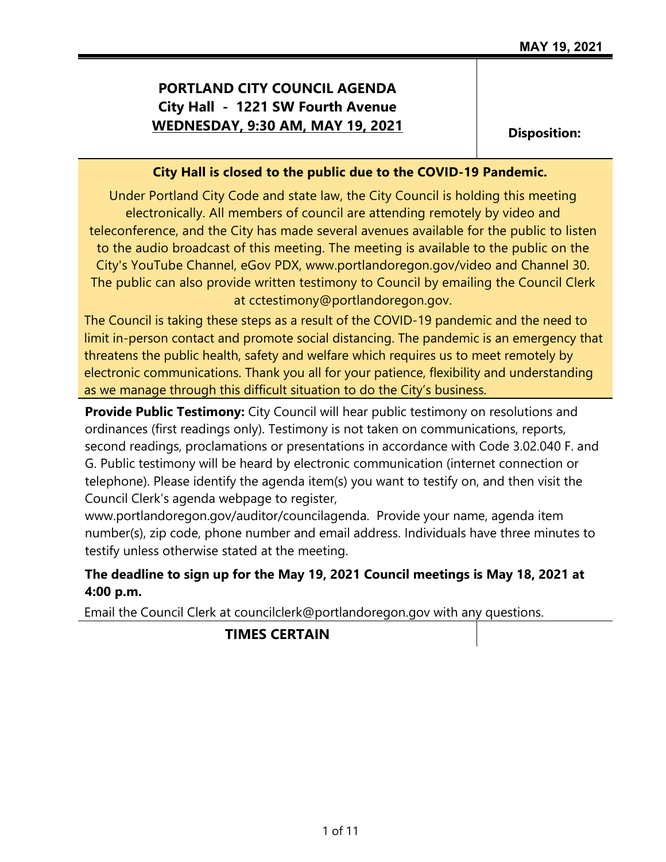## **PORTLAND CITY COUNCIL AGENDA City Hall - 1221 SW Fourth Avenue WEDNESDAY, 9:30 AM, MAY 19, 2021** Disposition:

#### **City Hall is closed to the public due to the COVID-19 Pandemic.**

Under Portland City Code and state law, the City Council is holding this meeting electronically. All members of council are attending remotely by video and teleconference, and the City has made several avenues available for the public to listen to the audio broadcast of this meeting. The meeting is available to the public on the City's YouTube Channel, eGov PDX, www.portlandoregon.gov/video and Channel 30. The public can also provide written testimony to Council by emailing the Council Clerk at cctestimony@portlandoregon.gov.

The Council is taking these steps as a result of the COVID-19 pandemic and the need to limit in-person contact and promote social distancing. The pandemic is an emergency that threatens the public health, safety and welfare which requires us to meet remotely by electronic communications. Thank you all for your patience, flexibility and understanding as we manage through this difficult situation to do the City's business.

**Provide Public Testimony:** City Council will hear public testimony on resolutions and ordinances (first readings only). Testimony is not taken on communications, reports, second readings, proclamations or presentations in accordance with Code 3.02.040 F. and G. Public testimony will be heard by electronic communication (internet connection or telephone). Please identify the agenda item(s) you want to testify on, and then visit the Council Clerk's agenda webpage to register,

www.portlandoregon.gov/auditor/councilagenda. Provide your name, agenda item number(s), zip code, phone number and email address. Individuals have three minutes to testify unless otherwise stated at the meeting.

### **The deadline to sign up for the May 19, 2021 Council meetings is May 18, 2021 at 4:00 p.m.**

Email the Council Clerk at councilclerk@portlandoregon.gov with any questions.

### **TIMES CERTAIN**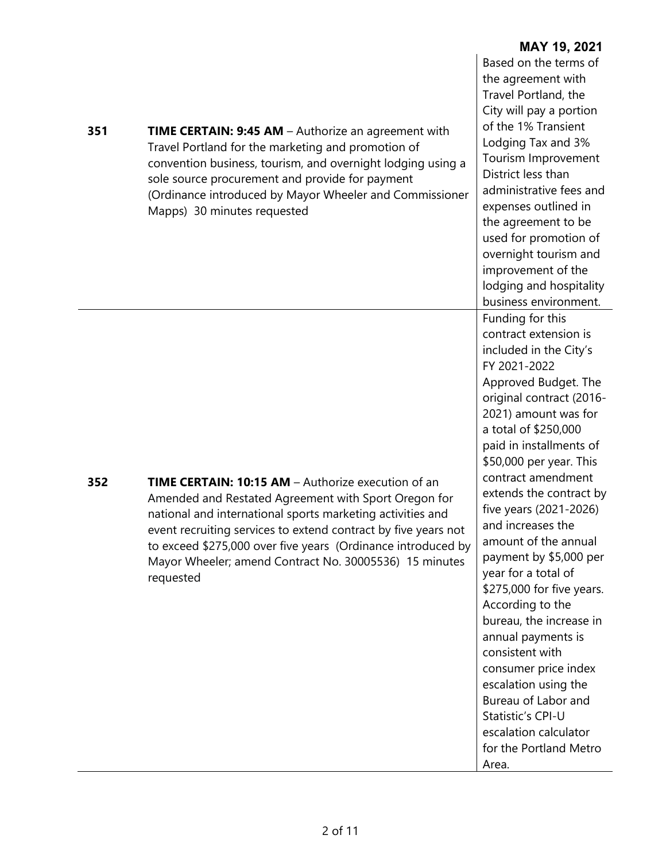| 351 | <b>TIME CERTAIN: 9:45 AM</b> – Authorize an agreement with<br>Travel Portland for the marketing and promotion of<br>convention business, tourism, and overnight lodging using a<br>sole source procurement and provide for payment<br>(Ordinance introduced by Mayor Wheeler and Commissioner<br>Mapps) 30 minutes requested                                                      | Based on the terms of<br>the agreement with<br>Travel Portland, the<br>City will pay a portion<br>of the 1% Transient<br>Lodging Tax and 3%<br>Tourism Improvement<br>District less than<br>administrative fees and<br>expenses outlined in<br>the agreement to be<br>used for promotion of<br>overnight tourism and<br>improvement of the<br>lodging and hospitality<br>business environment.                                                                                                                                                                                                                                                                                                      |
|-----|-----------------------------------------------------------------------------------------------------------------------------------------------------------------------------------------------------------------------------------------------------------------------------------------------------------------------------------------------------------------------------------|-----------------------------------------------------------------------------------------------------------------------------------------------------------------------------------------------------------------------------------------------------------------------------------------------------------------------------------------------------------------------------------------------------------------------------------------------------------------------------------------------------------------------------------------------------------------------------------------------------------------------------------------------------------------------------------------------------|
| 352 | TIME CERTAIN: 10:15 AM - Authorize execution of an<br>Amended and Restated Agreement with Sport Oregon for<br>national and international sports marketing activities and<br>event recruiting services to extend contract by five years not<br>to exceed \$275,000 over five years (Ordinance introduced by<br>Mayor Wheeler; amend Contract No. 30005536) 15 minutes<br>requested | Funding for this<br>contract extension is<br>included in the City's<br>FY 2021-2022<br>Approved Budget. The<br>original contract (2016-<br>2021) amount was for<br>a total of \$250,000<br>paid in installments of<br>\$50,000 per year. This<br>contract amendment<br>extends the contract by<br>five years (2021-2026)<br>and increases the<br>amount of the annual<br>payment by \$5,000 per<br>year for a total of<br>\$275,000 for five years.<br>According to the<br>bureau, the increase in<br>annual payments is<br>consistent with<br>consumer price index<br>escalation using the<br>Bureau of Labor and<br>Statistic's CPI-U<br>escalation calculator<br>for the Portland Metro<br>Area. |

**MAY 19, 2021**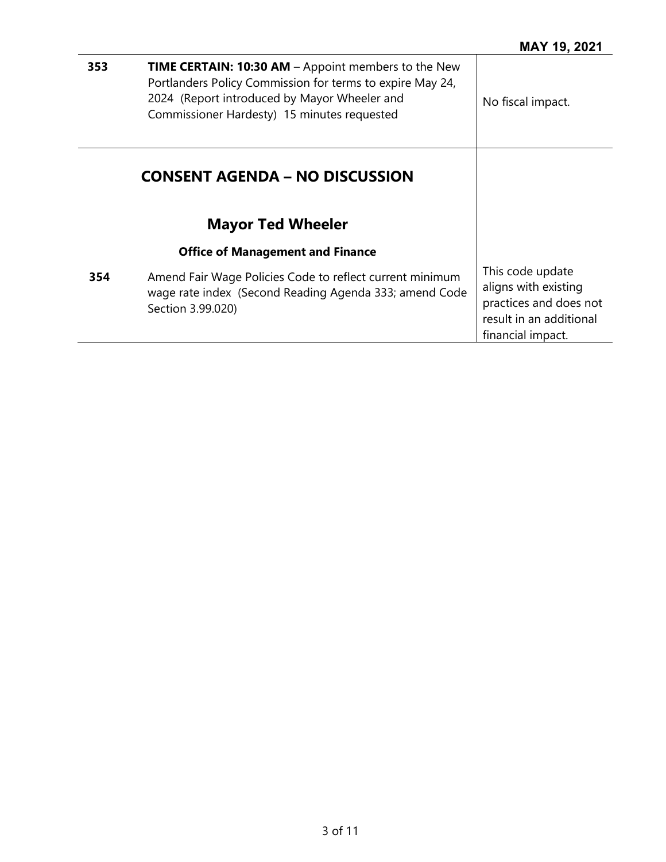| 353 | TIME CERTAIN: 10:30 AM - Appoint members to the New<br>Portlanders Policy Commission for terms to expire May 24,<br>2024 (Report introduced by Mayor Wheeler and<br>Commissioner Hardesty) 15 minutes requested | No fiscal impact.                                                                                                  |
|-----|-----------------------------------------------------------------------------------------------------------------------------------------------------------------------------------------------------------------|--------------------------------------------------------------------------------------------------------------------|
|     | <b>CONSENT AGENDA – NO DISCUSSION</b>                                                                                                                                                                           |                                                                                                                    |
|     | <b>Mayor Ted Wheeler</b>                                                                                                                                                                                        |                                                                                                                    |
|     | <b>Office of Management and Finance</b>                                                                                                                                                                         |                                                                                                                    |
| 354 | Amend Fair Wage Policies Code to reflect current minimum<br>wage rate index (Second Reading Agenda 333; amend Code<br>Section 3.99.020)                                                                         | This code update<br>aligns with existing<br>practices and does not<br>result in an additional<br>financial impact. |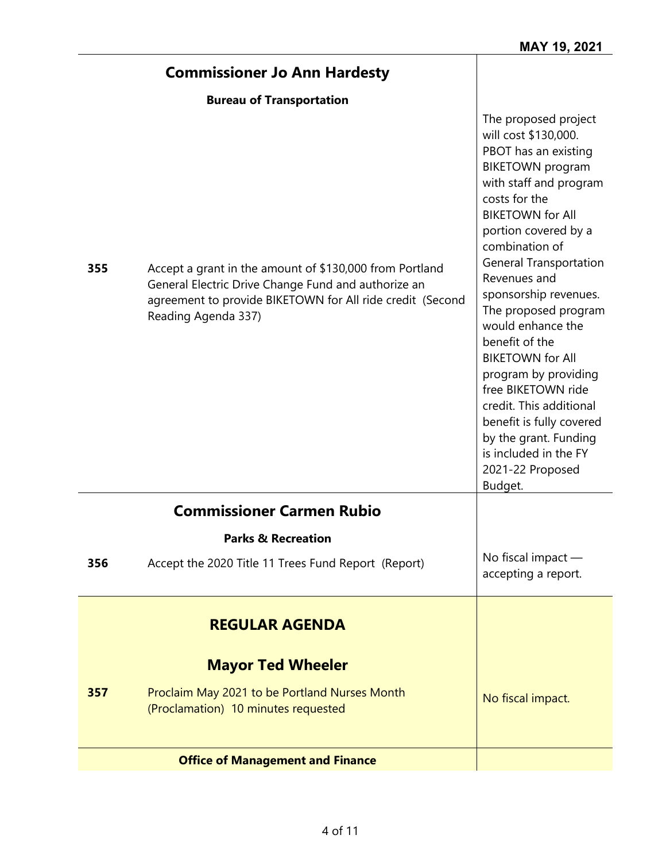H

|     | <b>Commissioner Jo Ann Hardesty</b>                                                                                                                                                                |                                                                                                                                                                                                                                                                                                                                                                                                                                                                                                                                                                           |
|-----|----------------------------------------------------------------------------------------------------------------------------------------------------------------------------------------------------|---------------------------------------------------------------------------------------------------------------------------------------------------------------------------------------------------------------------------------------------------------------------------------------------------------------------------------------------------------------------------------------------------------------------------------------------------------------------------------------------------------------------------------------------------------------------------|
|     | <b>Bureau of Transportation</b>                                                                                                                                                                    |                                                                                                                                                                                                                                                                                                                                                                                                                                                                                                                                                                           |
| 355 | Accept a grant in the amount of \$130,000 from Portland<br>General Electric Drive Change Fund and authorize an<br>agreement to provide BIKETOWN for All ride credit (Second<br>Reading Agenda 337) | The proposed project<br>will cost \$130,000.<br>PBOT has an existing<br><b>BIKETOWN</b> program<br>with staff and program<br>costs for the<br><b>BIKETOWN for All</b><br>portion covered by a<br>combination of<br><b>General Transportation</b><br>Revenues and<br>sponsorship revenues.<br>The proposed program<br>would enhance the<br>benefit of the<br><b>BIKETOWN for All</b><br>program by providing<br>free BIKETOWN ride<br>credit. This additional<br>benefit is fully covered<br>by the grant. Funding<br>is included in the FY<br>2021-22 Proposed<br>Budget. |
|     | <b>Commissioner Carmen Rubio</b>                                                                                                                                                                   |                                                                                                                                                                                                                                                                                                                                                                                                                                                                                                                                                                           |
|     | <b>Parks &amp; Recreation</b>                                                                                                                                                                      |                                                                                                                                                                                                                                                                                                                                                                                                                                                                                                                                                                           |
| 356 | Accept the 2020 Title 11 Trees Fund Report (Report)                                                                                                                                                | No fiscal impact -<br>accepting a report.                                                                                                                                                                                                                                                                                                                                                                                                                                                                                                                                 |
|     | <b>REGULAR AGENDA</b>                                                                                                                                                                              |                                                                                                                                                                                                                                                                                                                                                                                                                                                                                                                                                                           |
|     | <b>Mayor Ted Wheeler</b>                                                                                                                                                                           |                                                                                                                                                                                                                                                                                                                                                                                                                                                                                                                                                                           |
| 357 | Proclaim May 2021 to be Portland Nurses Month<br>(Proclamation) 10 minutes requested                                                                                                               | No fiscal impact.                                                                                                                                                                                                                                                                                                                                                                                                                                                                                                                                                         |
|     | <b>Office of Management and Finance</b>                                                                                                                                                            |                                                                                                                                                                                                                                                                                                                                                                                                                                                                                                                                                                           |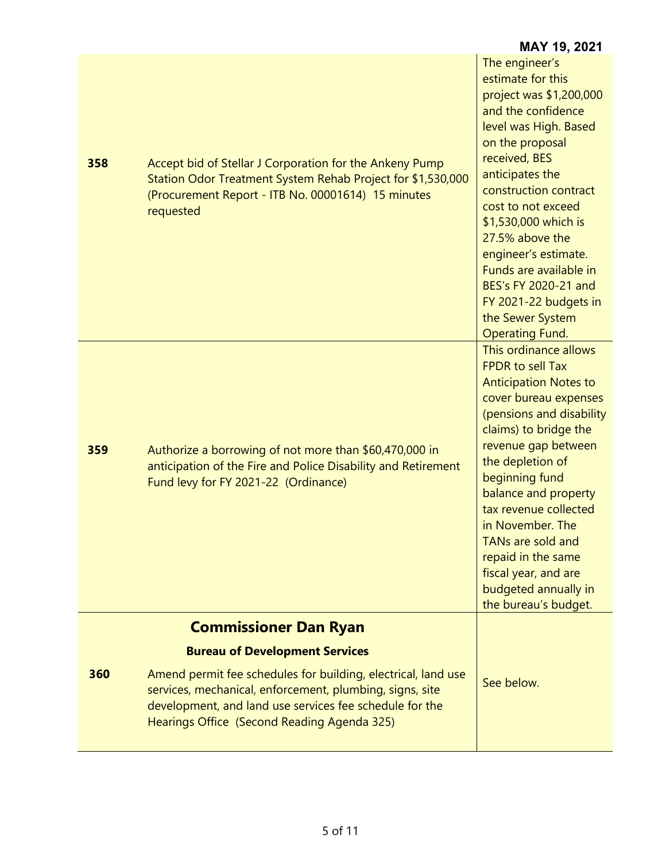| 358 | Accept bid of Stellar J Corporation for the Ankeny Pump<br>Station Odor Treatment System Rehab Project for \$1,530,000<br>(Procurement Report - ITB No. 00001614) 15 minutes<br>requested                                           | The engineer's<br>estimate for this<br>project was \$1,200,000<br>and the confidence<br>level was High. Based<br>on the proposal<br>received, BES<br>anticipates the<br>construction contract<br>cost to not exceed<br>\$1,530,000 which is<br>27.5% above the<br>engineer's estimate.<br>Funds are available in<br>BES's FY 2020-21 and<br>FY 2021-22 budgets in<br>the Sewer System<br><b>Operating Fund.</b>     |
|-----|-------------------------------------------------------------------------------------------------------------------------------------------------------------------------------------------------------------------------------------|---------------------------------------------------------------------------------------------------------------------------------------------------------------------------------------------------------------------------------------------------------------------------------------------------------------------------------------------------------------------------------------------------------------------|
| 359 | Authorize a borrowing of not more than \$60,470,000 in<br>anticipation of the Fire and Police Disability and Retirement<br>Fund levy for FY 2021-22 (Ordinance)                                                                     | This ordinance allows<br><b>FPDR</b> to sell Tax<br><b>Anticipation Notes to</b><br>cover bureau expenses<br>(pensions and disability<br>claims) to bridge the<br>revenue gap between<br>the depletion of<br>beginning fund<br>balance and property<br>tax revenue collected<br>in November. The<br>TANs are sold and<br>repaid in the same<br>fiscal year, and are<br>budgeted annually in<br>the bureau's budget. |
|     | <b>Commissioner Dan Ryan</b>                                                                                                                                                                                                        |                                                                                                                                                                                                                                                                                                                                                                                                                     |
|     | <b>Bureau of Development Services</b>                                                                                                                                                                                               |                                                                                                                                                                                                                                                                                                                                                                                                                     |
| 360 | Amend permit fee schedules for building, electrical, land use<br>services, mechanical, enforcement, plumbing, signs, site<br>development, and land use services fee schedule for the<br>Hearings Office (Second Reading Agenda 325) | See below.                                                                                                                                                                                                                                                                                                                                                                                                          |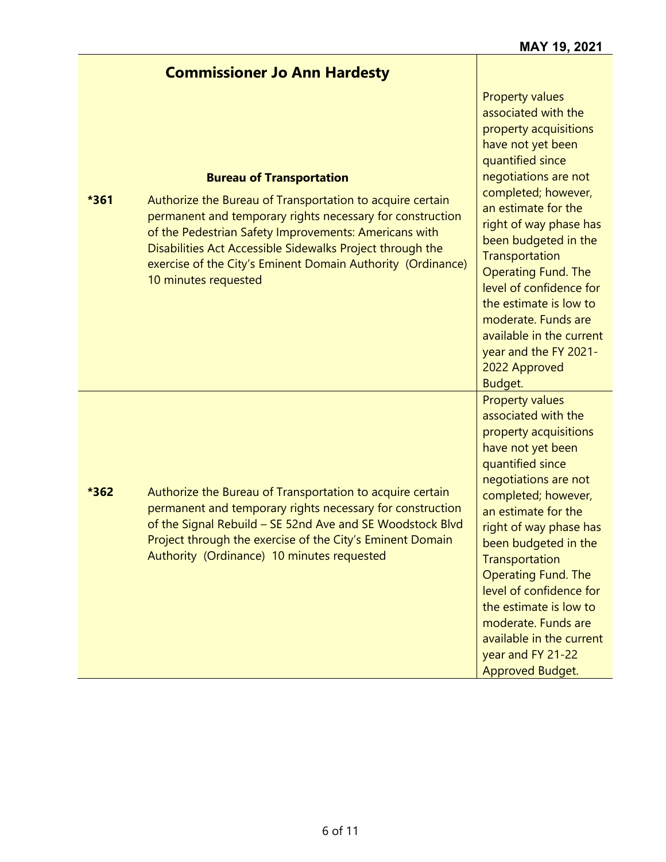|      | <b>Commissioner Jo Ann Hardesty</b>                                                                                                                                                                                                                                                                                                                                    |                                                                                                                                                                                                                                                                                                                                                                                                                                                      |
|------|------------------------------------------------------------------------------------------------------------------------------------------------------------------------------------------------------------------------------------------------------------------------------------------------------------------------------------------------------------------------|------------------------------------------------------------------------------------------------------------------------------------------------------------------------------------------------------------------------------------------------------------------------------------------------------------------------------------------------------------------------------------------------------------------------------------------------------|
| *361 | <b>Bureau of Transportation</b><br>Authorize the Bureau of Transportation to acquire certain<br>permanent and temporary rights necessary for construction<br>of the Pedestrian Safety Improvements: Americans with<br>Disabilities Act Accessible Sidewalks Project through the<br>exercise of the City's Eminent Domain Authority (Ordinance)<br>10 minutes requested | <b>Property values</b><br>associated with the<br>property acquisitions<br>have not yet been<br>quantified since<br>negotiations are not<br>completed; however,<br>an estimate for the<br>right of way phase has<br>been budgeted in the<br>Transportation<br><b>Operating Fund. The</b><br>level of confidence for<br>the estimate is low to<br>moderate. Funds are<br>available in the current<br>year and the FY 2021-<br>2022 Approved<br>Budget. |
| *362 | Authorize the Bureau of Transportation to acquire certain<br>permanent and temporary rights necessary for construction<br>of the Signal Rebuild - SE 52nd Ave and SE Woodstock Blvd<br>Project through the exercise of the City's Eminent Domain<br>Authority (Ordinance) 10 minutes requested                                                                         | <b>Property values</b><br>associated with the<br>property acquisitions<br>have not yet been<br>quantified since<br>negotiations are not<br>completed; however,<br>an estimate for the<br>right of way phase has<br>been budgeted in the<br>Transportation<br><b>Operating Fund. The</b><br>level of confidence for<br>the estimate is low to<br>moderate. Funds are<br>available in the current<br>year and FY 21-22<br>Approved Budget.             |

**MAY 19, 2021**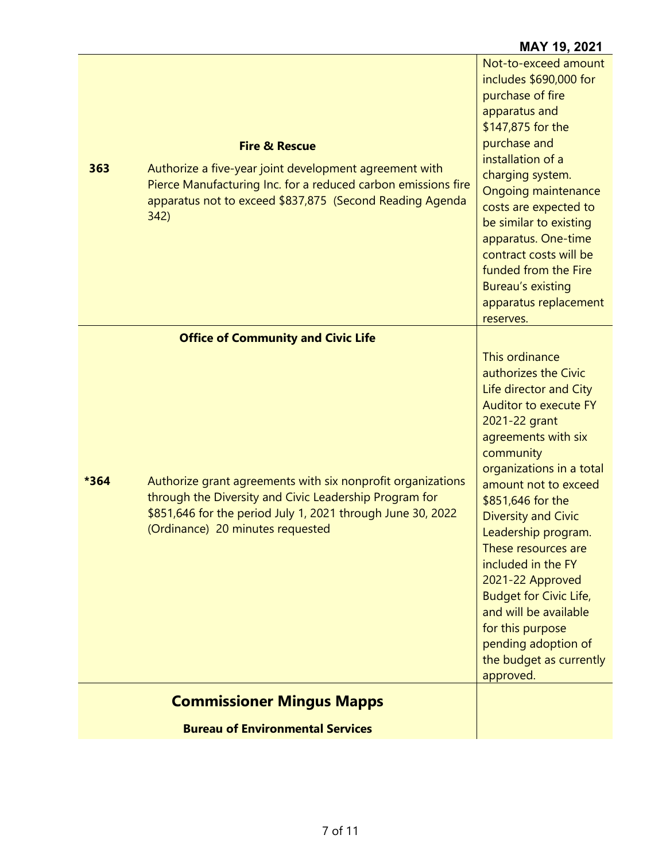#### **Fire & Rescue 363** Authorize a five-year joint development agreement with Pierce Manufacturing Inc. for a reduced carbon emissions fire apparatus not to exceed \$837,875 (Second Reading Agenda 342) Not-to-exceed amount includes \$690,000 for purchase of fire apparatus and \$147,875 for the purchase and installation of a charging system. Ongoing maintenance costs are expected to be similar to existing apparatus. One-time contract costs will be funded from the Fire Bureau's existing apparatus replacement reserves. **Office of Community and Civic Life \*364** Authorize grant agreements with six nonprofit organizations through the Diversity and Civic Leadership Program for \$851,646 for the period July 1, 2021 through June 30, 2022 (Ordinance) 20 minutes requested This ordinance authorizes the Civic Life director and City Auditor to execute FY 2021-22 grant agreements with six community organizations in a total amount not to exceed \$851,646 for the Diversity and Civic Leadership program. These resources are included in the FY 2021-22 Approved Budget for Civic Life, and will be available for this purpose pending adoption of the budget as currently approved.

**MAY 19, 2021**

# **Commissioner Mingus Mapps**

**Bureau of Environmental Services**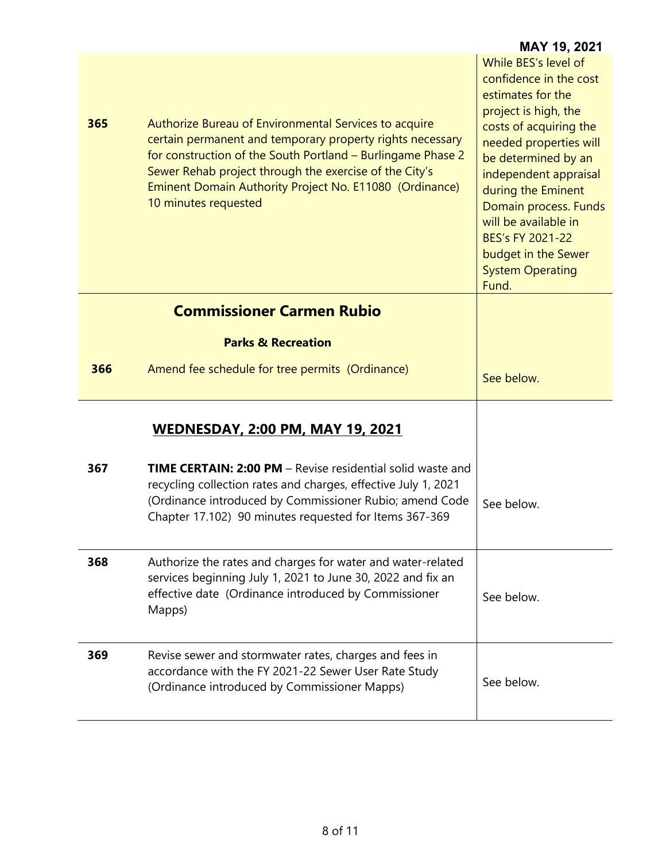|     |                                                                                                                                                                                                                                                                                                                                | <b>MAY 19, 2021</b>                                                                                                                                                                                                                                                                                                                                   |
|-----|--------------------------------------------------------------------------------------------------------------------------------------------------------------------------------------------------------------------------------------------------------------------------------------------------------------------------------|-------------------------------------------------------------------------------------------------------------------------------------------------------------------------------------------------------------------------------------------------------------------------------------------------------------------------------------------------------|
| 365 | Authorize Bureau of Environmental Services to acquire<br>certain permanent and temporary property rights necessary<br>for construction of the South Portland - Burlingame Phase 2<br>Sewer Rehab project through the exercise of the City's<br>Eminent Domain Authority Project No. E11080 (Ordinance)<br>10 minutes requested | While BES's level of<br>confidence in the cost<br>estimates for the<br>project is high, the<br>costs of acquiring the<br>needed properties will<br>be determined by an<br>independent appraisal<br>during the Eminent<br>Domain process. Funds<br>will be available in<br>BES's FY 2021-22<br>budget in the Sewer<br><b>System Operating</b><br>Fund. |
|     | <b>Commissioner Carmen Rubio</b>                                                                                                                                                                                                                                                                                               |                                                                                                                                                                                                                                                                                                                                                       |
|     | <b>Parks &amp; Recreation</b>                                                                                                                                                                                                                                                                                                  |                                                                                                                                                                                                                                                                                                                                                       |
| 366 | Amend fee schedule for tree permits (Ordinance)                                                                                                                                                                                                                                                                                | See below.                                                                                                                                                                                                                                                                                                                                            |
|     | <b>WEDNESDAY, 2:00 PM, MAY 19, 2021</b>                                                                                                                                                                                                                                                                                        |                                                                                                                                                                                                                                                                                                                                                       |
| 367 | <b>TIME CERTAIN: 2:00 PM</b> – Revise residential solid waste and<br>recycling collection rates and charges, effective July 1, 2021<br>(Ordinance introduced by Commissioner Rubio; amend Code<br>Chapter 17.102) 90 minutes requested for Items 367-369                                                                       | See below.                                                                                                                                                                                                                                                                                                                                            |
| 368 | Authorize the rates and charges for water and water-related<br>services beginning July 1, 2021 to June 30, 2022 and fix an<br>effective date (Ordinance introduced by Commissioner<br>Mapps)                                                                                                                                   | See below.                                                                                                                                                                                                                                                                                                                                            |
| 369 | Revise sewer and stormwater rates, charges and fees in<br>accordance with the FY 2021-22 Sewer User Rate Study<br>(Ordinance introduced by Commissioner Mapps)                                                                                                                                                                 | See below.                                                                                                                                                                                                                                                                                                                                            |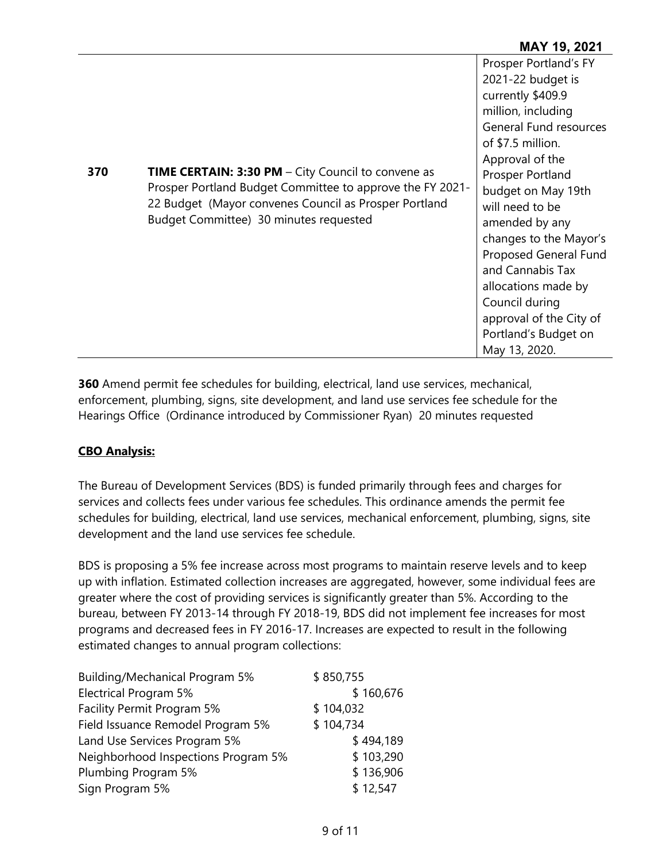#### **MAY 19, 2021**

| 370 | <b>TIME CERTAIN: 3:30 PM</b> – City Council to convene as<br>Prosper Portland Budget Committee to approve the FY 2021-<br>22 Budget (Mayor convenes Council as Prosper Portland<br>Budget Committee) 30 minutes requested | Prosper Portland's FY<br>2021-22 budget is<br>currently \$409.9<br>million, including<br><b>General Fund resources</b><br>of \$7.5 million.<br>Approval of the<br>Prosper Portland<br>budget on May 19th<br>will need to be<br>amended by any<br>changes to the Mayor's<br>Proposed General Fund<br>and Cannabis Tax<br>allocations made by<br>Council during<br>approval of the City of<br>Portland's Budget on<br>May 13, 2020. |
|-----|---------------------------------------------------------------------------------------------------------------------------------------------------------------------------------------------------------------------------|-----------------------------------------------------------------------------------------------------------------------------------------------------------------------------------------------------------------------------------------------------------------------------------------------------------------------------------------------------------------------------------------------------------------------------------|
|-----|---------------------------------------------------------------------------------------------------------------------------------------------------------------------------------------------------------------------------|-----------------------------------------------------------------------------------------------------------------------------------------------------------------------------------------------------------------------------------------------------------------------------------------------------------------------------------------------------------------------------------------------------------------------------------|

**360** Amend permit fee schedules for building, electrical, land use services, mechanical, enforcement, plumbing, signs, site development, and land use services fee schedule for the Hearings Office (Ordinance introduced by Commissioner Ryan) 20 minutes requested

#### **CBO Analysis:**

The Bureau of Development Services (BDS) is funded primarily through fees and charges for services and collects fees under various fee schedules. This ordinance amends the permit fee schedules for building, electrical, land use services, mechanical enforcement, plumbing, signs, site development and the land use services fee schedule.

BDS is proposing a 5% fee increase across most programs to maintain reserve levels and to keep up with inflation. Estimated collection increases are aggregated, however, some individual fees are greater where the cost of providing services is significantly greater than 5%. According to the bureau, between FY 2013-14 through FY 2018-19, BDS did not implement fee increases for most programs and decreased fees in FY 2016-17. Increases are expected to result in the following estimated changes to annual program collections:

| Building/Mechanical Program 5%      | \$850,755 |
|-------------------------------------|-----------|
| Electrical Program 5%               | \$160,676 |
| Facility Permit Program 5%          | \$104,032 |
| Field Issuance Remodel Program 5%   | \$104,734 |
| Land Use Services Program 5%        | \$494,189 |
| Neighborhood Inspections Program 5% | \$103,290 |
| Plumbing Program 5%                 | \$136,906 |
| Sign Program 5%                     | \$12,547  |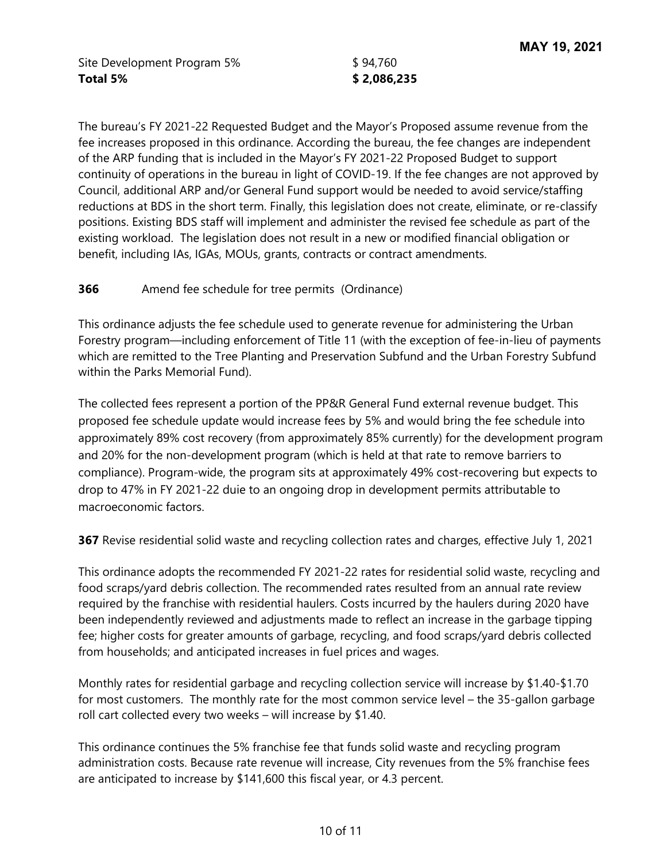Site Development Program 5%  $$94,760$ **Total 5% \$ 2,086,235** 

The bureau's FY 2021-22 Requested Budget and the Mayor's Proposed assume revenue from the fee increases proposed in this ordinance. According the bureau, the fee changes are independent of the ARP funding that is included in the Mayor's FY 2021-22 Proposed Budget to support continuity of operations in the bureau in light of COVID-19. If the fee changes are not approved by Council, additional ARP and/or General Fund support would be needed to avoid service/staffing reductions at BDS in the short term. Finally, this legislation does not create, eliminate, or re-classify positions. Existing BDS staff will implement and administer the revised fee schedule as part of the existing workload. The legislation does not result in a new or modified financial obligation or benefit, including IAs, IGAs, MOUs, grants, contracts or contract amendments.

#### **366** Amend fee schedule for tree permits (Ordinance)

This ordinance adjusts the fee schedule used to generate revenue for administering the Urban Forestry program—including enforcement of Title 11 (with the exception of fee-in-lieu of payments which are remitted to the Tree Planting and Preservation Subfund and the Urban Forestry Subfund within the Parks Memorial Fund).

The collected fees represent a portion of the PP&R General Fund external revenue budget. This proposed fee schedule update would increase fees by 5% and would bring the fee schedule into approximately 89% cost recovery (from approximately 85% currently) for the development program and 20% for the non-development program (which is held at that rate to remove barriers to compliance). Program-wide, the program sits at approximately 49% cost-recovering but expects to drop to 47% in FY 2021-22 duie to an ongoing drop in development permits attributable to macroeconomic factors.

**367** Revise residential solid waste and recycling collection rates and charges, effective July 1, 2021

This ordinance adopts the recommended FY 2021-22 rates for residential solid waste, recycling and food scraps/yard debris collection. The recommended rates resulted from an annual rate review required by the franchise with residential haulers. Costs incurred by the haulers during 2020 have been independently reviewed and adjustments made to reflect an increase in the garbage tipping fee; higher costs for greater amounts of garbage, recycling, and food scraps/yard debris collected from households; and anticipated increases in fuel prices and wages.

Monthly rates for residential garbage and recycling collection service will increase by \$1.40-\$1.70 for most customers. The monthly rate for the most common service level – the 35-gallon garbage roll cart collected every two weeks – will increase by \$1.40.

This ordinance continues the 5% franchise fee that funds solid waste and recycling program administration costs. Because rate revenue will increase, City revenues from the 5% franchise fees are anticipated to increase by \$141,600 this fiscal year, or 4.3 percent.